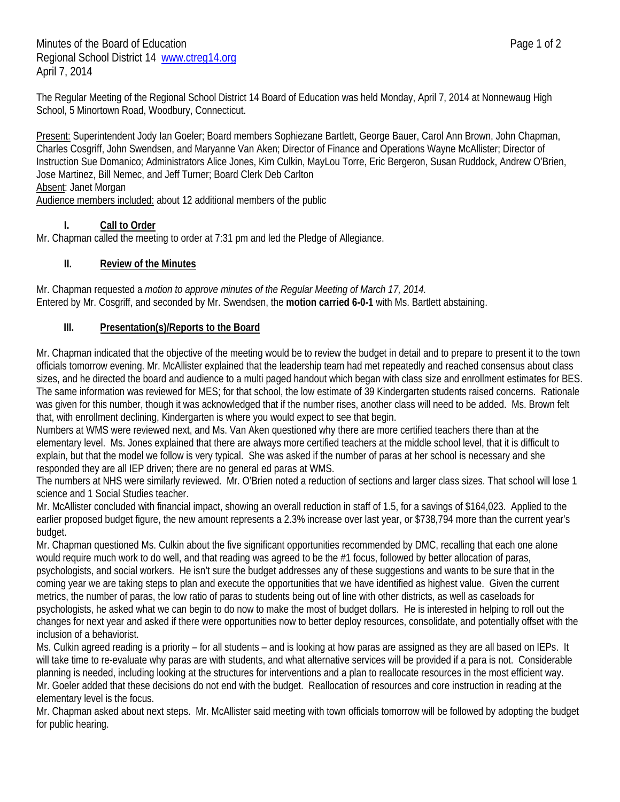The Regular Meeting of the Regional School District 14 Board of Education was held Monday, April 7, 2014 at Nonnewaug High School, 5 Minortown Road, Woodbury, Connecticut.

Present: Superintendent Jody Ian Goeler; Board members Sophiezane Bartlett, George Bauer, Carol Ann Brown, John Chapman, Charles Cosgriff, John Swendsen, and Maryanne Van Aken; Director of Finance and Operations Wayne McAllister; Director of Instruction Sue Domanico; Administrators Alice Jones, Kim Culkin, MayLou Torre, Eric Bergeron, Susan Ruddock, Andrew O'Brien, Jose Martinez, Bill Nemec, and Jeff Turner; Board Clerk Deb Carlton Absent: Janet Morgan

Audience members included: about 12 additional members of the public

## **I. Call to Order**

Mr. Chapman called the meeting to order at 7:31 pm and led the Pledge of Allegiance.

## **II. Review of the Minutes**

Mr. Chapman requested a *motion to approve minutes of the Regular Meeting of March 17, 2014.* Entered by Mr. Cosgriff, and seconded by Mr. Swendsen, the **motion carried 6-0-1** with Ms. Bartlett abstaining.

### **III. Presentation(s)/Reports to the Board**

Mr. Chapman indicated that the objective of the meeting would be to review the budget in detail and to prepare to present it to the town officials tomorrow evening. Mr. McAllister explained that the leadership team had met repeatedly and reached consensus about class sizes, and he directed the board and audience to a multi paged handout which began with class size and enrollment estimates for BES. The same information was reviewed for MES; for that school, the low estimate of 39 Kindergarten students raised concerns. Rationale was given for this number, though it was acknowledged that if the number rises, another class will need to be added. Ms. Brown felt that, with enrollment declining, Kindergarten is where you would expect to see that begin.

Numbers at WMS were reviewed next, and Ms. Van Aken questioned why there are more certified teachers there than at the elementary level. Ms. Jones explained that there are always more certified teachers at the middle school level, that it is difficult to explain, but that the model we follow is very typical. She was asked if the number of paras at her school is necessary and she responded they are all IEP driven; there are no general ed paras at WMS.

The numbers at NHS were similarly reviewed. Mr. O'Brien noted a reduction of sections and larger class sizes. That school will lose 1 science and 1 Social Studies teacher.

Mr. McAllister concluded with financial impact, showing an overall reduction in staff of 1.5, for a savings of \$164,023. Applied to the earlier proposed budget figure, the new amount represents a 2.3% increase over last year, or \$738,794 more than the current year's budget.

Mr. Chapman questioned Ms. Culkin about the five significant opportunities recommended by DMC, recalling that each one alone would require much work to do well, and that reading was agreed to be the #1 focus, followed by better allocation of paras, psychologists, and social workers. He isn't sure the budget addresses any of these suggestions and wants to be sure that in the coming year we are taking steps to plan and execute the opportunities that we have identified as highest value. Given the current metrics, the number of paras, the low ratio of paras to students being out of line with other districts, as well as caseloads for psychologists, he asked what we can begin to do now to make the most of budget dollars. He is interested in helping to roll out the changes for next year and asked if there were opportunities now to better deploy resources, consolidate, and potentially offset with the inclusion of a behaviorist.

Ms. Culkin agreed reading is a priority – for all students – and is looking at how paras are assigned as they are all based on IEPs. It will take time to re-evaluate why paras are with students, and what alternative services will be provided if a para is not. Considerable planning is needed, including looking at the structures for interventions and a plan to reallocate resources in the most efficient way. Mr. Goeler added that these decisions do not end with the budget. Reallocation of resources and core instruction in reading at the elementary level is the focus.

Mr. Chapman asked about next steps. Mr. McAllister said meeting with town officials tomorrow will be followed by adopting the budget for public hearing.